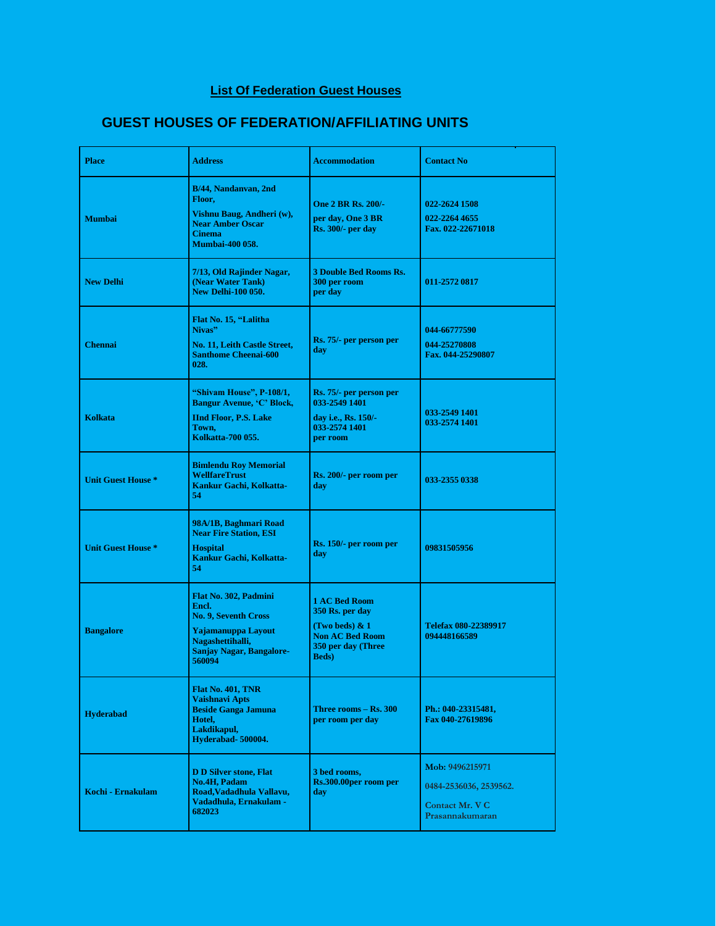## **List Of Federation Guest Houses**

## **GUEST HOUSES OF FEDERATION/AFFILIATING UNITS**

| <b>Place</b>              | <b>Address</b>                                                                                                                                       | <b>Accommodation</b>                                                                                                       | <b>Contact No</b>                                                               |
|---------------------------|------------------------------------------------------------------------------------------------------------------------------------------------------|----------------------------------------------------------------------------------------------------------------------------|---------------------------------------------------------------------------------|
| <b>Mumbai</b>             | B/44, Nandanvan, 2nd<br>Floor,<br>Vishnu Baug, Andheri (w),<br><b>Near Amber Oscar</b><br><b>Cinema</b><br><b>Mumbai-400 058.</b>                    | <b>One 2 BR Rs. 200/-</b><br>per day, One 3 BR<br><b>Rs. 300/- per day</b>                                                 | 022-2624 1508<br>022-2264 4655<br>Fax. 022-22671018                             |
| <b>New Delhi</b>          | 7/13, Old Rajinder Nagar,<br>(Near Water Tank)<br><b>New Delhi-100 050.</b>                                                                          | <b>3 Double Bed Rooms Rs.</b><br>300 per room<br>per day                                                                   | 011-2572 0817                                                                   |
| <b>Chennai</b>            | Flat No. 15, "Lalitha<br>Nivas"<br>No. 11, Leith Castle Street,<br><b>Santhome Cheenai-600</b><br>028.                                               | Rs. 75/- per person per<br>day                                                                                             | 044-66777590<br>044-25270808<br>Fax. 044-25290807                               |
| <b>Kolkata</b>            | "Shivam House", P-108/1,<br><b>Bangur Avenue, 'C' Block,</b><br><b>IInd Floor, P.S. Lake</b><br>Town,<br>Kolkatta-700 055.                           | Rs. 75/- per person per<br>033-2549 1401<br>day i.e., Rs. 150/-<br>033-2574 1401<br>per room                               | 033-2549 1401<br>033-2574 1401                                                  |
| <b>Unit Guest House *</b> | <b>Bimlendu Roy Memorial</b><br><b>WellfareTrust</b><br>Kankur Gachi, Kolkatta-<br>54                                                                | Rs. 200/- per room per<br>day                                                                                              | 033-2355 0338                                                                   |
| <b>Unit Guest House *</b> | 98A/1B, Baghmari Road<br><b>Near Fire Station, ESI</b><br><b>Hospital</b><br>Kankur Gachi, Kolkatta-<br>54                                           | Rs. 150/- per room per<br>day                                                                                              | 09831505956                                                                     |
| <b>Bangalore</b>          | Flat No. 302, Padmini<br>Encl.<br><b>No. 9. Seventh Cross</b><br>Yajamanuppa Lavout<br>Nagashettihalli,<br><b>Sanjay Nagar, Bangalore-</b><br>560094 | <b>1 AC Bed Room</b><br>350 Rs. per day<br>(Two beds) & 1<br><b>Non AC Bed Room</b><br>350 per day (Three<br><b>Beds</b> ) | Telefax 080-22389917<br>094448166589                                            |
| <b>Hyderabad</b>          | <b>Flat No. 401, TNR</b><br>Vaishnavi Apts<br><b>Beside Ganga Jamuna</b><br>Hotel.<br>Lakdikapul,<br>Hyderabad-500004.                               | Three rooms – Rs. 300<br>per room per day                                                                                  | Ph.: 040-23315481,<br>Fax 040-27619896                                          |
| Kochi - Ernakulam         | <b>D D Silver stone, Flat</b><br><b>No.4H, Padam</b><br>Road, Vadadhula Vallavu,<br>Vadadhula, Ernakulam -<br>682023                                 | 3 bed rooms,<br>Rs.300.00per room per<br>day                                                                               | Mob: 9496215971<br>0484-2536036, 2539562.<br>Contact Mr. V C<br>Prasannakumaran |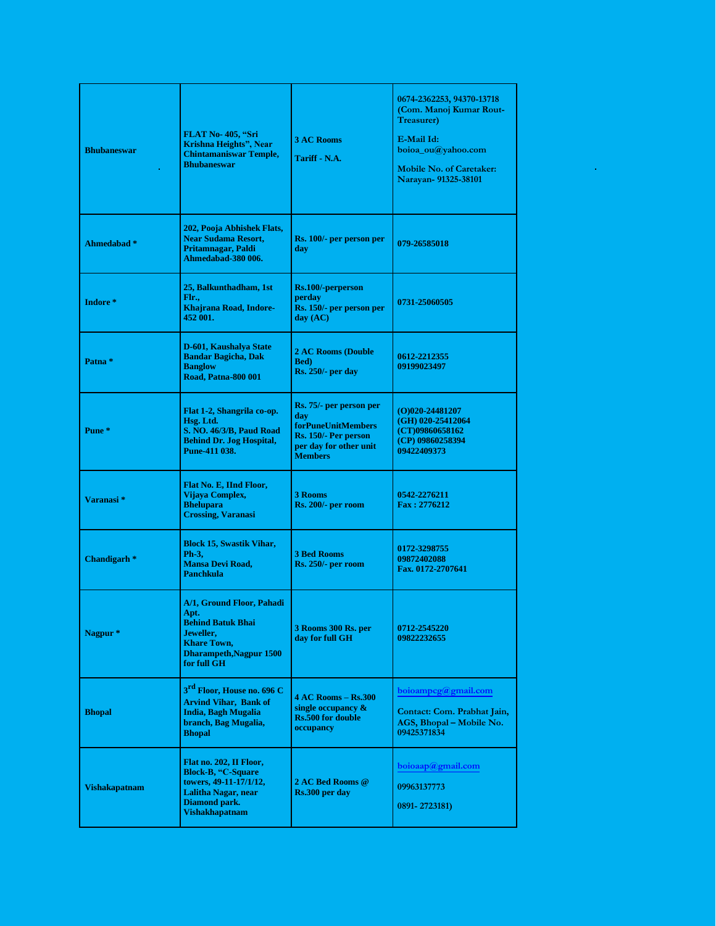| <b>Bhubaneswar</b>      | FLAT No-405, "Sri<br>Krishna Heights", Near<br><b>Chintamaniswar Temple,</b><br><b>Bhubaneswar</b>                                                | <b>3 AC Rooms</b><br>Tariff - N.A.                                                                                              | 0674-2362253, 94370-13718<br>(Com. Manoj Kumar Rout-<br><b>Treasurer</b> )<br>E-Mail Id:<br>boioa_ou@yahoo.com<br><b>Mobile No. of Caretaker:</b><br>Narayan- 91325-38101 |
|-------------------------|---------------------------------------------------------------------------------------------------------------------------------------------------|---------------------------------------------------------------------------------------------------------------------------------|---------------------------------------------------------------------------------------------------------------------------------------------------------------------------|
| Ahmedabad <sup>*</sup>  | 202, Pooja Abhishek Flats,<br><b>Near Sudama Resort.</b><br>Pritamnagar, Paldi<br>Ahmedabad-380 006.                                              | Rs. 100/- per person per<br>day                                                                                                 | 079-26585018                                                                                                                                                              |
| Indore*                 | 25, Balkunthadham, 1st<br>Flr.,<br>Khajrana Road, Indore-<br>452 001.                                                                             | Rs.100/-perperson<br>perday<br>Rs. 150/- per person per<br>day (AC)                                                             | 0731-25060505                                                                                                                                                             |
| Patna <sup>*</sup>      | D-601, Kaushalya State<br><b>Bandar Bagicha, Dak</b><br><b>Banglow</b><br><b>Road, Patna-800 001</b>                                              | <b>2 AC Rooms (Double)</b><br><b>Bed</b> )<br><b>Rs. 250/- per day</b>                                                          | 0612-2212355<br>09199023497                                                                                                                                               |
| Pune <sup>*</sup>       | Flat 1-2, Shangrila co-op.<br>Hsg. Ltd.<br>S. NO. 46/3/B, Paud Road<br><b>Behind Dr. Jog Hospital,</b><br>Pune-411 038.                           | Rs. 75/- per person per<br>day<br><b>forPuneUnitMembers</b><br>Rs. 150/- Per person<br>per day for other unit<br><b>Members</b> | $(O)020 - 24481207$<br>(GH) 020-25412064<br>(CT)09860658162<br>(CP) 09860258394<br>09422409373                                                                            |
| Varanasi*               | Flat No. E, IInd Floor,<br>Vijaya Complex,<br><b>Bhelupara</b><br><b>Crossing, Varanasi</b>                                                       | 3 Rooms<br><b>Rs. 200/- per room</b>                                                                                            | 0542-2276211<br>Fax: 2776212                                                                                                                                              |
| Chandigarh <sup>*</sup> | <b>Block 15, Swastik Vihar,</b><br>Ph-3,<br><b>Mansa Devi Road,</b><br><b>Panchkula</b>                                                           | <b>3 Bed Rooms</b><br><b>Rs. 250/- per room</b>                                                                                 | 0172-3298755<br>09872402088<br>Fax. 0172-2707641                                                                                                                          |
| Nagpur <sup>*</sup>     | A/1. Ground Floor. Pahadi<br>Apt.<br><b>Behind Batuk Bhai</b><br>Jeweller,<br><b>Khare Town,</b><br><b>Dharampeth, Nagpur 1500</b><br>for full GH | 3 Rooms 300 Rs. per<br>day for full GH                                                                                          | 0712-2545220<br>09822232655                                                                                                                                               |
| <b>Bhopal</b>           | 3 <sup>rd</sup> Floor, House no. 696 C<br><b>Arvind Vihar, Bank of</b><br>India, Bagh Mugalia<br>branch, Bag Mugalia,<br><b>Bhopal</b>            | 4 AC Rooms – Rs.300<br>single occupancy $\&$<br><b>Rs.500 for double</b><br>occupancy                                           | boioampcg@gmail.com<br>Contact: Com. Prabhat Jain,<br>AGS, Bhopal – Mobile No.<br>09425371834                                                                             |
| <b>Vishakapatnam</b>    | Flat no. 202, II Floor,<br><b>Block-B, "C-Square</b><br>towers, 49-11-17/1/12,<br>Lalitha Nagar, near<br>Diamond park.<br><b>Vishakhapatnam</b>   | 2 AC Bed Rooms @<br>Rs.300 per day                                                                                              | boioaap@gmail.com<br>09963137773<br>0891-2723181)                                                                                                                         |